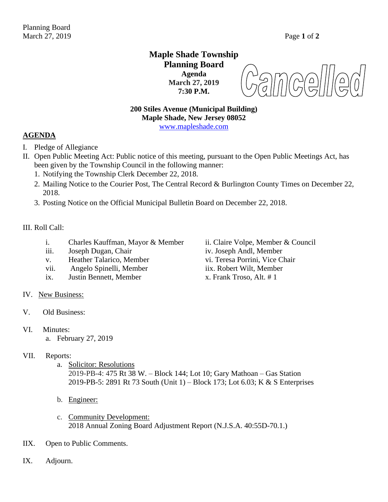# **Maple Shade Township Planning Board Agenda March 27, 2019 7:30 P.M.**

amcel  $\begin{pmatrix} 0 \\ 5 \end{pmatrix}$ 

# **200 Stiles Avenue (Municipal Building) Maple Shade, New Jersey 08052**

[www.mapleshade.com](http://www.mapleshade.com/)

## **AGENDA**

- I. Pledge of Allegiance
- II. Open Public Meeting Act: Public notice of this meeting, pursuant to the Open Public Meetings Act, has been given by the Township Council in the following manner:
	- 1. Notifying the Township Clerk December 22, 2018.
	- 2. Mailing Notice to the Courier Post, The Central Record & Burlington County Times on December 22, 2018.
	- 3. Posting Notice on the Official Municipal Bulletin Board on December 22, 2018.

### III. Roll Call:

- i. Charles Kauffman, Mayor & Member ii. Claire Volpe, Member & Council
- 
- 
- vii. Angelo Spinelli, Member iix. Robert Wilt, Member
- ix. Justin Bennett, Member  $x$ . Frank Troso, Alt. # 1
- IV. New Business:
- V. Old Business:
- VI. Minutes:
	- a. February 27, 2019

## VII. Reports:

- a. Solicitor: Resolutions 2019-PB-4: 475 Rt 38 W. – Block 144; Lot 10; Gary Mathoan – Gas Station 2019-PB-5: 2891 Rt 73 South (Unit 1) – Block 173; Lot 6.03; K & S Enterprises
- b. Engineer:
- c. Community Development: 2018 Annual Zoning Board Adjustment Report (N.J.S.A. 40:55D-70.1.)
- IIX. Open to Public Comments.
- IX. Adjourn.

iii. Joseph Dugan, Chair iv. Joseph Andl, Member v. Heather Talarico, Member vi. Teresa Porrini, Vice Chair